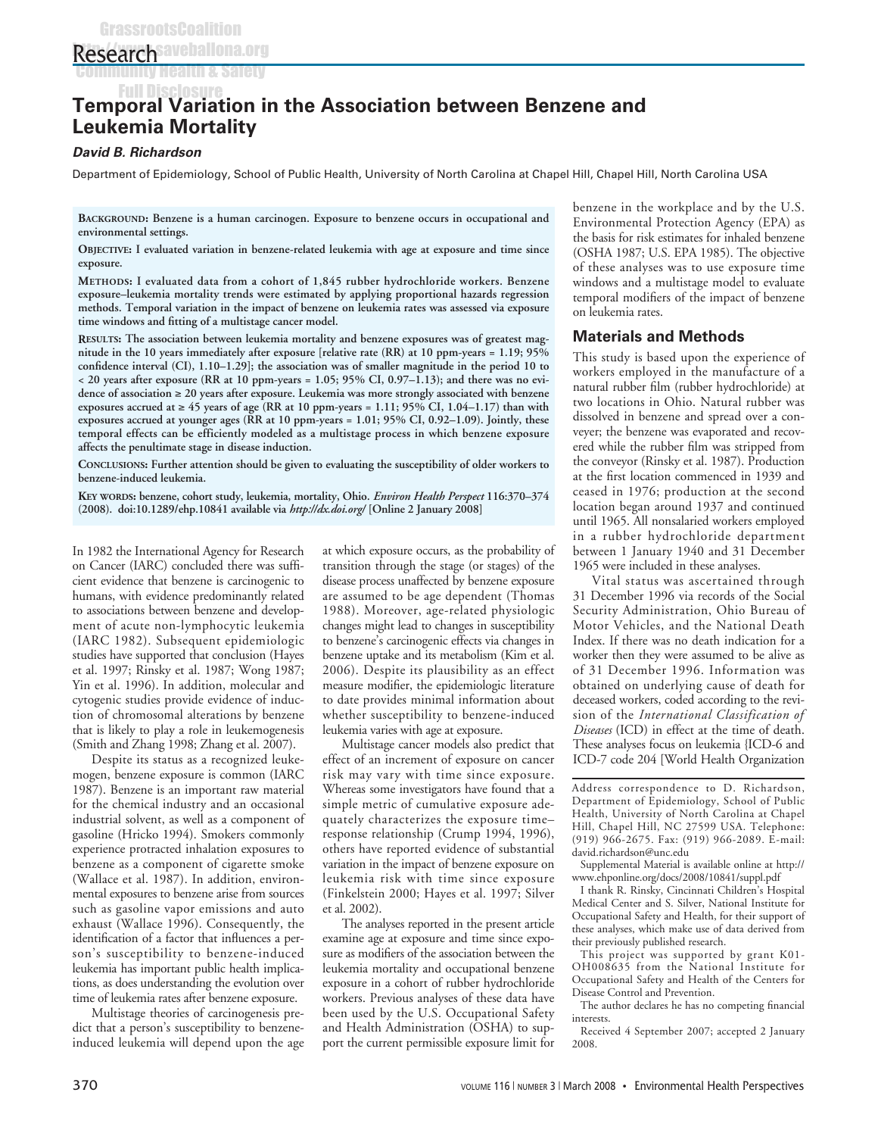Research aveballona.org Community Health & Safety

### **Temporal Variation in the Association between Benzene and Leukemia Mortality** Full Disclosure

#### **David B. Richardson**

Department of Epidemiology, School of Public Health, University of North Carolina at Chapel Hill, Chapel Hill, North Carolina USA

**BACKGROUND: Benzene is a human carcinogen. Exposure to benzene occurs in occupational and environmental settings.** 

**OBJECTIVE: I evaluated variation in benzene-related leukemia with age at exposure and time since exposure.** 

**METHODS: I evaluated data from a cohort of 1,845 rubber hydrochloride workers. Benzene exposure–leukemia mortality trends were estimated by applying proportional hazards regression methods. Temporal variation in the impact of benzene on leukemia rates was assessed via exposure time windows and fitting of a multistage cancer model.** 

**RESULTS: The association between leukemia mortality and benzene exposures was of greatest magnitude in the 10 years immediately after exposure [relative rate (RR) at 10 ppm-years = 1.19; 95% confidence interval (CI), 1.10–1.29]; the association was of smaller magnitude in the period 10 to < 20 years after exposure (RR at 10 ppm-years = 1.05; 95% CI, 0.97–1.13); and there was no evidence of association** ≥ **20 years after exposure. Leukemia was more strongly associated with benzene exposures accrued at** ≥ **45 years of age (RR at 10 ppm-years = 1.11; 95% CI, 1.04–1.17) than with exposures accrued at younger ages (RR at 10 ppm-years = 1.01; 95% CI, 0.92–1.09). Jointly, these temporal effects can be efficiently modeled as a multistage process in which benzene exposure affects the penultimate stage in disease induction.**

**CONCLUSIONS: Further attention should be given to evaluating the susceptibility of older workers to benzene-induced leukemia.**

**KEY WORDS: benzene, cohort study, leukemia, mortality, Ohio.** *Environ Health Perspect* **116:370–374 (2008). doi:10.1289/ehp.10841 available via** *http://dx.doi.org/* **[Online 2 January 2008]**

In 1982 the International Agency for Research on Cancer (IARC) concluded there was sufficient evidence that benzene is carcinogenic to humans, with evidence predominantly related to associations between benzene and development of acute non-lymphocytic leukemia (IARC 1982). Subsequent epidemiologic studies have supported that conclusion (Hayes et al. 1997; Rinsky et al. 1987; Wong 1987; Yin et al. 1996). In addition, molecular and cytogenic studies provide evidence of induction of chromosomal alterations by benzene that is likely to play a role in leukemogenesis (Smith and Zhang 1998; Zhang et al. 2007).

Despite its status as a recognized leukemogen, benzene exposure is common (IARC 1987). Benzene is an important raw material for the chemical industry and an occasional industrial solvent, as well as a component of gasoline (Hricko 1994). Smokers commonly experience protracted inhalation exposures to benzene as a component of cigarette smoke (Wallace et al. 1987). In addition, environmental exposures to benzene arise from sources such as gasoline vapor emissions and auto exhaust (Wallace 1996). Consequently, the identification of a factor that influences a person's susceptibility to benzene-induced leukemia has important public health implications, as does understanding the evolution over time of leukemia rates after benzene exposure.

Multistage theories of carcinogenesis predict that a person's susceptibility to benzeneinduced leukemia will depend upon the age at which exposure occurs, as the probability of transition through the stage (or stages) of the disease process unaffected by benzene exposure are assumed to be age dependent (Thomas 1988). Moreover, age-related physiologic changes might lead to changes in susceptibility to benzene's carcinogenic effects via changes in benzene uptake and its metabolism (Kim et al. 2006). Despite its plausibility as an effect measure modifier, the epidemiologic literature to date provides minimal information about whether susceptibility to benzene-induced leukemia varies with age at exposure.

Multistage cancer models also predict that effect of an increment of exposure on cancer risk may vary with time since exposure. Whereas some investigators have found that a simple metric of cumulative exposure adequately characterizes the exposure time– response relationship (Crump 1994, 1996), others have reported evidence of substantial variation in the impact of benzene exposure on leukemia risk with time since exposure (Finkelstein 2000; Hayes et al. 1997; Silver et al. 2002).

The analyses reported in the present article examine age at exposure and time since exposure as modifiers of the association between the leukemia mortality and occupational benzene exposure in a cohort of rubber hydrochloride workers. Previous analyses of these data have been used by the U.S. Occupational Safety and Health Administration (OSHA) to support the current permissible exposure limit for benzene in the workplace and by the U.S. Environmental Protection Agency (EPA) as the basis for risk estimates for inhaled benzene (OSHA 1987; U.S. EPA 1985). The objective of these analyses was to use exposure time windows and a multistage model to evaluate temporal modifiers of the impact of benzene on leukemia rates.

#### **Materials and Methods**

This study is based upon the experience of workers employed in the manufacture of a natural rubber film (rubber hydrochloride) at two locations in Ohio. Natural rubber was dissolved in benzene and spread over a conveyer; the benzene was evaporated and recovered while the rubber film was stripped from the conveyor (Rinsky et al. 1987). Production at the first location commenced in 1939 and ceased in 1976; production at the second location began around 1937 and continued until 1965. All nonsalaried workers employed in a rubber hydrochloride department between 1 January 1940 and 31 December 1965 were included in these analyses.

Vital status was ascertained through 31 December 1996 via records of the Social Security Administration, Ohio Bureau of Motor Vehicles, and the National Death Index. If there was no death indication for a worker then they were assumed to be alive as of 31 December 1996. Information was obtained on underlying cause of death for deceased workers, coded according to the revision of the *International Classification of Diseases* (ICD) in effect at the time of death. These analyses focus on leukemia {ICD-6 and ICD-7 code 204 [World Health Organization

Address correspondence to D. Richardson, Department of Epidemiology, School of Public Health, University of North Carolina at Chapel Hill, Chapel Hill, NC 27599 USA. Telephone: (919) 966-2675. Fax: (919) 966-2089. E-mail: david.richardson@unc.edu

Supplemental Material is available online at http:// www.ehponline.org/docs/2008/10841/suppl.pdf

I thank R. Rinsky, Cincinnati Children's Hospital Medical Center and S. Silver, National Institute for Occupational Safety and Health, for their support of these analyses, which make use of data derived from their previously published research.

This project was supported by grant K01- OH008635 from the National Institute for Occupational Safety and Health of the Centers for Disease Control and Prevention.

The author declares he has no competing financial interests.

Received 4 September 2007; accepted 2 January 2008.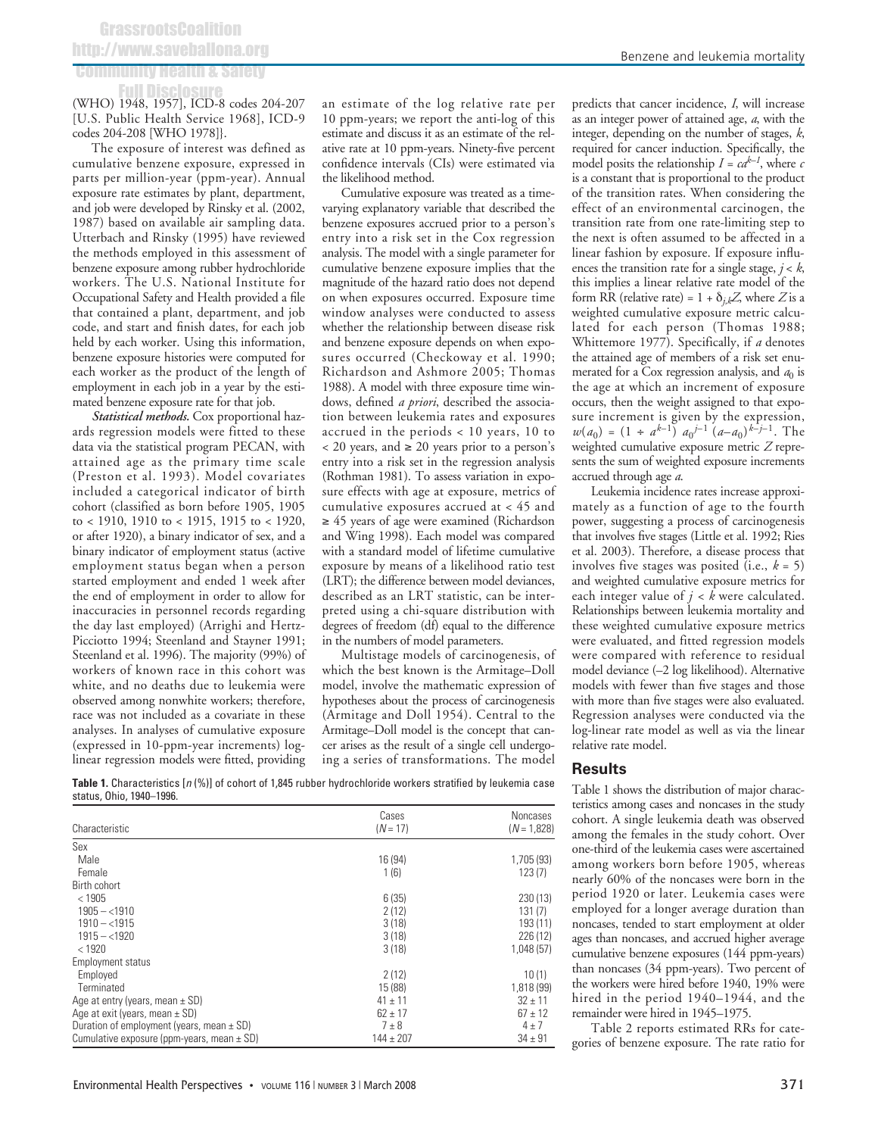# **GrassrootsCoalition** http://www.saveballona.org

### Community Health &

(WHO) 1948, 1957], ICD-8 codes 204-207 [U.S. Public Health Service 1968], ICD-9 codes 204-208 [WHO 1978]}.

The exposure of interest was defined as cumulative benzene exposure, expressed in parts per million-year (ppm-year). Annual exposure rate estimates by plant, department, and job were developed by Rinsky et al. (2002, 1987) based on available air sampling data. Utterbach and Rinsky (1995) have reviewed the methods employed in this assessment of benzene exposure among rubber hydrochloride workers. The U.S. National Institute for Occupational Safety and Health provided a file that contained a plant, department, and job code, and start and finish dates, for each job held by each worker. Using this information, benzene exposure histories were computed for each worker as the product of the length of employment in each job in a year by the estimated benzene exposure rate for that job.

*Statistical methods.* Cox proportional hazards regression models were fitted to these data via the statistical program PECAN, with attained age as the primary time scale (Preston et al. 1993). Model covariates included a categorical indicator of birth cohort (classified as born before 1905, 1905 to < 1910, 1910 to < 1915, 1915 to < 1920, or after 1920), a binary indicator of sex, and a binary indicator of employment status (active employment status began when a person started employment and ended 1 week after the end of employment in order to allow for inaccuracies in personnel records regarding the day last employed) (Arrighi and Hertz-Picciotto 1994; Steenland and Stayner 1991; Steenland et al. 1996). The majority (99%) of workers of known race in this cohort was white, and no deaths due to leukemia were observed among nonwhite workers; therefore, race was not included as a covariate in these analyses. In analyses of cumulative exposure (expressed in 10-ppm-year increments) loglinear regression models were fitted, providing

an estimate of the log relative rate per 10 ppm-years; we report the anti-log of this estimate and discuss it as an estimate of the relative rate at 10 ppm-years. Ninety-five percent confidence intervals (CIs) were estimated via the likelihood method.

Cumulative exposure was treated as a timevarying explanatory variable that described the benzene exposures accrued prior to a person's entry into a risk set in the Cox regression analysis. The model with a single parameter for cumulative benzene exposure implies that the magnitude of the hazard ratio does not depend on when exposures occurred. Exposure time window analyses were conducted to assess whether the relationship between disease risk and benzene exposure depends on when exposures occurred (Checkoway et al. 1990; Richardson and Ashmore 2005; Thomas 1988). A model with three exposure time windows, defined *a priori*, described the association between leukemia rates and exposures accrued in the periods < 10 years, 10 to  $\langle 20 \rangle$  years, and  $\geq 20$  years prior to a person's entry into a risk set in the regression analysis (Rothman 1981). To assess variation in exposure effects with age at exposure, metrics of cumulative exposures accrued at < 45 and ≥ 45 years of age were examined (Richardson and Wing 1998). Each model was compared with a standard model of lifetime cumulative exposure by means of a likelihood ratio test (LRT); the difference between model deviances, described as an LRT statistic, can be interpreted using a chi-square distribution with degrees of freedom (df) equal to the difference in the numbers of model parameters.

Multistage models of carcinogenesis, of which the best known is the Armitage–Doll model, involve the mathematic expression of hypotheses about the process of carcinogenesis (Armitage and Doll 1954). Central to the Armitage–Doll model is the concept that cancer arises as the result of a single cell undergoing a series of transformations. The model

predicts that cancer incidence, *I*, will increase as an integer power of attained age, *a*, with the integer, depending on the number of stages, *k*, required for cancer induction. Specifically, the model posits the relationship  $I = ca^{k-1}$ , where *c* is a constant that is proportional to the product of the transition rates. When considering the effect of an environmental carcinogen, the transition rate from one rate-limiting step to the next is often assumed to be affected in a linear fashion by exposure. If exposure influences the transition rate for a single stage,  $j < k$ , this implies a linear relative rate model of the form RR (relative rate) =  $1 + \delta_{ik}Z$ , where *Z* is a weighted cumulative exposure metric calculated for each person (Thomas 1988; Whittemore 1977). Specifically, if *a* denotes the attained age of members of a risk set enumerated for a Cox regression analysis, and  $a_0$  is the age at which an increment of exposure occurs, then the weight assigned to that exposure increment is given by the expression,  $w(a_0) = (1 \div a^{k-1}) a_0^{j-1} (a-a_0)^{k-j-1}$ . The weighted cumulative exposure metric *Z* represents the sum of weighted exposure increments accrued through age *a*.

Leukemia incidence rates increase approximately as a function of age to the fourth power, suggesting a process of carcinogenesis that involves five stages (Little et al. 1992; Ries et al. 2003). Therefore, a disease process that involves five stages was posited  $(i.e., k = 5)$ and weighted cumulative exposure metrics for each integer value of  $j < k$  were calculated. Relationships between leukemia mortality and these weighted cumulative exposure metrics were evaluated, and fitted regression models were compared with reference to residual model deviance (–2 log likelihood). Alternative models with fewer than five stages and those with more than five stages were also evaluated. Regression analyses were conducted via the log-linear rate model as well as via the linear relative rate model.

#### **Results**

Table 1 shows the distribution of major characteristics among cases and noncases in the study cohort. A single leukemia death was observed among the females in the study cohort. Over one-third of the leukemia cases were ascertained among workers born before 1905, whereas nearly 60% of the noncases were born in the period 1920 or later. Leukemia cases were employed for a longer average duration than noncases, tended to start employment at older ages than noncases, and accrued higher average cumulative benzene exposures (144 ppm-years) than noncases (34 ppm-years). Two percent of the workers were hired before 1940, 19% were hired in the period 1940–1944, and the remainder were hired in 1945–1975.

Table 2 reports estimated RRs for categories of benzene exposure. The rate ratio for

| <b>Table 1.</b> Characteristics $[n(\%)]$ of cohort of 1,845 rubber hydrochloride workers stratified by leukemia case |
|-----------------------------------------------------------------------------------------------------------------------|
|                                                                                                                       |
| status, Ohio, 1940–1996.                                                                                              |

|                                               | Cases         | Noncases      |  |
|-----------------------------------------------|---------------|---------------|--|
| Characteristic                                | $(N = 17)$    | $(N = 1,828)$ |  |
| Sex                                           |               |               |  |
| Male                                          | 16 (94)       | 1,705 (93)    |  |
| Female                                        | 1(6)          | 123(7)        |  |
| Birth cohort                                  |               |               |  |
| < 1905                                        | 6(35)         | 230 (13)      |  |
| $1905 - 1910$                                 | 2(12)         | 131(7)        |  |
| $1910 - 1915$                                 | 3(18)         | 193 (11)      |  |
| $1915 - 1920$                                 | 3(18)         | 226 (12)      |  |
| < 1920                                        | 3(18)         | 1,048(57)     |  |
| <b>Employment status</b>                      |               |               |  |
| Employed                                      | 2(12)         | 10(1)         |  |
| Terminated                                    | 15 (88)       | 1,818 (99)    |  |
| Age at entry (years, mean $\pm$ SD)           | $41 \pm 11$   | $32 \pm 11$   |  |
| Age at exit (years, mean ± SD)                | $62 \pm 17$   | $67 \pm 12$   |  |
| Duration of employment (years, mean $\pm$ SD) | $7 \pm 8$     | $4 \pm 7$     |  |
| Cumulative exposure (ppm-years, mean ± SD)    | $144 \pm 207$ | $34 \pm 91$   |  |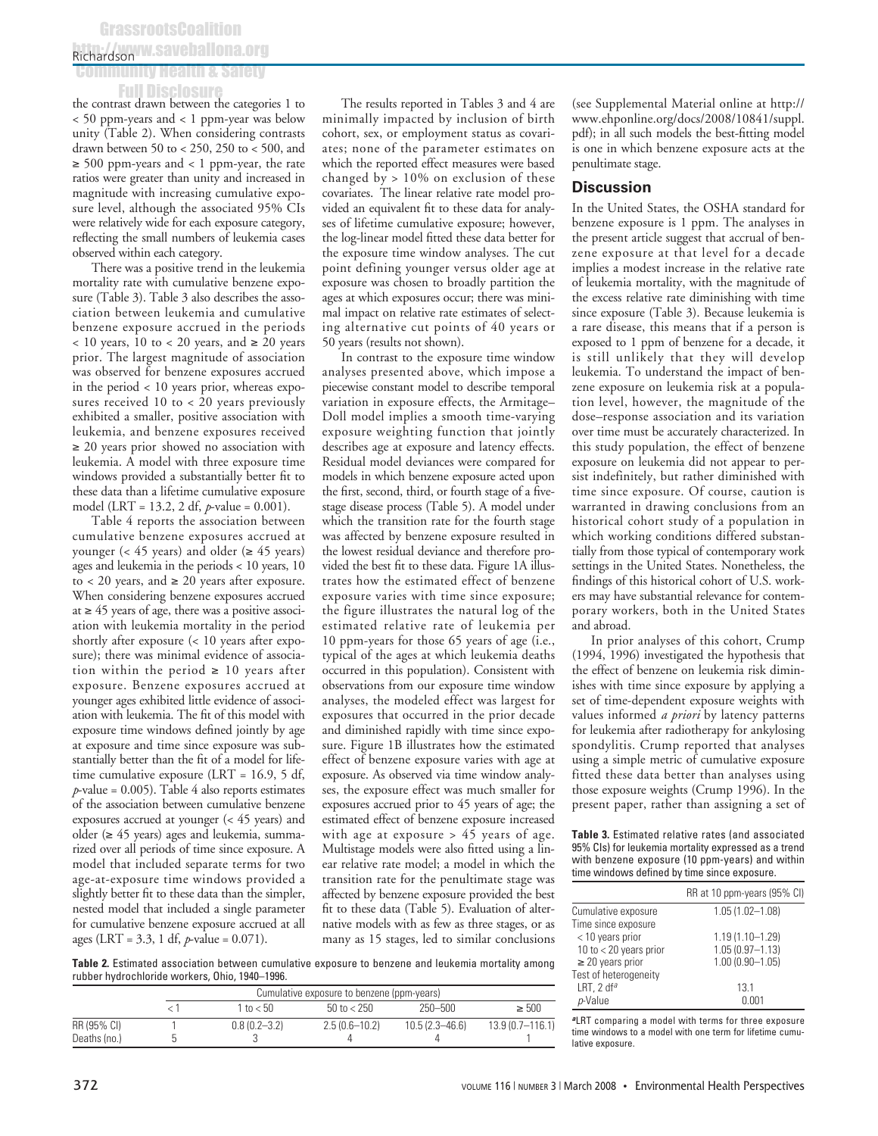# Richardson Saveballona.org GrassrootsCoalition

#### Community Health & Safety Full Disclosure

the contrast drawn between the categories 1 to < 50 ppm-years and < 1 ppm-year was below unity (Table 2). When considering contrasts drawn between 50 to < 250, 250 to < 500, and ≥ 500 ppm-years and < 1 ppm-year, the rate ratios were greater than unity and increased in magnitude with increasing cumulative exposure level, although the associated 95% CIs were relatively wide for each exposure category, reflecting the small numbers of leukemia cases observed within each category.

There was a positive trend in the leukemia mortality rate with cumulative benzene exposure (Table 3). Table 3 also describes the association between leukemia and cumulative benzene exposure accrued in the periods < 10 years, 10 to < 20 years, and ≥ 20 years prior. The largest magnitude of association was observed for benzene exposures accrued in the period < 10 years prior, whereas exposures received 10 to < 20 years previously exhibited a smaller, positive association with leukemia, and benzene exposures received ≥ 20 years prior showed no association with leukemia. A model with three exposure time windows provided a substantially better fit to these data than a lifetime cumulative exposure model (LRT = 13.2, 2 df, *p*-value = 0.001).

Table 4 reports the association between cumulative benzene exposures accrued at younger (< 45 years) and older ( $\geq 45$  years) ages and leukemia in the periods < 10 years, 10 to  $<$  20 years, and  $\geq$  20 years after exposure. When considering benzene exposures accrued at ≥ 45 years of age, there was a positive association with leukemia mortality in the period shortly after exposure (< 10 years after exposure); there was minimal evidence of association within the period  $\geq 10$  years after exposure. Benzene exposures accrued at younger ages exhibited little evidence of association with leukemia. The fit of this model with exposure time windows defined jointly by age at exposure and time since exposure was substantially better than the fit of a model for lifetime cumulative exposure (LRT = 16.9, 5 df,  $p$ -value = 0.005). Table 4 also reports estimates of the association between cumulative benzene exposures accrued at younger (< 45 years) and older (≥ 45 years) ages and leukemia, summarized over all periods of time since exposure. A model that included separate terms for two age-at-exposure time windows provided a slightly better fit to these data than the simpler, nested model that included a single parameter for cumulative benzene exposure accrued at all ages (LRT = 3.3, 1 df, *p*-value = 0.071).

The results reported in Tables 3 and 4 are minimally impacted by inclusion of birth cohort, sex, or employment status as covariates; none of the parameter estimates on which the reported effect measures were based changed by > 10% on exclusion of these covariates. The linear relative rate model provided an equivalent fit to these data for analyses of lifetime cumulative exposure; however, the log-linear model fitted these data better for the exposure time window analyses. The cut point defining younger versus older age at exposure was chosen to broadly partition the ages at which exposures occur; there was minimal impact on relative rate estimates of selecting alternative cut points of 40 years or 50 years (results not shown).

In contrast to the exposure time window analyses presented above, which impose a piecewise constant model to describe temporal variation in exposure effects, the Armitage– Doll model implies a smooth time-varying exposure weighting function that jointly describes age at exposure and latency effects. Residual model deviances were compared for models in which benzene exposure acted upon the first, second, third, or fourth stage of a fivestage disease process (Table 5). A model under which the transition rate for the fourth stage was affected by benzene exposure resulted in the lowest residual deviance and therefore provided the best fit to these data. Figure 1A illustrates how the estimated effect of benzene exposure varies with time since exposure; the figure illustrates the natural log of the estimated relative rate of leukemia per 10 ppm-years for those 65 years of age (i.e., typical of the ages at which leukemia deaths occurred in this population). Consistent with observations from our exposure time window analyses, the modeled effect was largest for exposures that occurred in the prior decade and diminished rapidly with time since exposure. Figure 1B illustrates how the estimated effect of benzene exposure varies with age at exposure. As observed via time window analyses, the exposure effect was much smaller for exposures accrued prior to 45 years of age; the estimated effect of benzene exposure increased with age at exposure > 45 years of age. Multistage models were also fitted using a linear relative rate model; a model in which the transition rate for the penultimate stage was affected by benzene exposure provided the best fit to these data (Table 5). Evaluation of alternative models with as few as three stages, or as many as 15 stages, led to similar conclusions

(see Supplemental Material online at http:// www.ehponline.org/docs/2008/10841/suppl. pdf); in all such models the best-fitting model is one in which benzene exposure acts at the penultimate stage.

#### **Discussion**

In the United States, the OSHA standard for benzene exposure is 1 ppm. The analyses in the present article suggest that accrual of benzene exposure at that level for a decade implies a modest increase in the relative rate of leukemia mortality, with the magnitude of the excess relative rate diminishing with time since exposure (Table 3). Because leukemia is a rare disease, this means that if a person is exposed to 1 ppm of benzene for a decade, it is still unlikely that they will develop leukemia. To understand the impact of benzene exposure on leukemia risk at a population level, however, the magnitude of the dose–response association and its variation over time must be accurately characterized. In this study population, the effect of benzene exposure on leukemia did not appear to persist indefinitely, but rather diminished with time since exposure. Of course, caution is warranted in drawing conclusions from an historical cohort study of a population in which working conditions differed substantially from those typical of contemporary work settings in the United States. Nonetheless, the findings of this historical cohort of U.S. workers may have substantial relevance for contemporary workers, both in the United States and abroad.

In prior analyses of this cohort, Crump (1994, 1996) investigated the hypothesis that the effect of benzene on leukemia risk diminishes with time since exposure by applying a set of time-dependent exposure weights with values informed *a priori* by latency patterns for leukemia after radiotherapy for ankylosing spondylitis. Crump reported that analyses using a simple metric of cumulative exposure fitted these data better than analyses using those exposure weights (Crump 1996). In the present paper, rather than assigning a set of

**Table 3.** Estimated relative rates (and associated 95% CIs) for leukemia mortality expressed as a trend with benzene exposure (10 ppm-years) and within time windows defined by time since exposure.

|                          | RR at 10 ppm-years (95% CI) |
|--------------------------|-----------------------------|
| Cumulative exposure      | $1.05(1.02 - 1.08)$         |
| Time since exposure      |                             |
| $<$ 10 years prior       | $1.19(1.10 - 1.29)$         |
| 10 to $<$ 20 years prior | $1.05(0.97 - 1.13)$         |
| $\geq$ 20 years prior    | $1.00(0.90 - 1.05)$         |
| Test of heterogeneity    |                             |
| LRT, 2 df <sup>a</sup>   | 13.1                        |
| p-Value                  | 0.001                       |
|                          |                             |

**Table 2.** Estimated association between cumulative exposure to benzene and leukemia mortality among rubber hydrochloride workers, Ohio, 1940–1996.

|              | Cumulative exposure to benzene (ppm-years) |                  |                 |                    |                     |
|--------------|--------------------------------------------|------------------|-----------------|--------------------|---------------------|
|              |                                            | 1 to $< 50$      | $50$ to $< 250$ | 250—500            | $\geq 500$          |
| RR (95% CI)  |                                            | $0.8(0.2 - 3.2)$ | $2.5(0.6-10.2)$ | $10.5(2.3 - 46.6)$ | $13.9(0.7 - 116.1)$ |
| Deaths (no.) |                                            |                  |                 |                    |                     |

**<sup>a</sup>** LRT comparing a model with terms for three exposure time windows to a model with one term for lifetime cumulative exposure.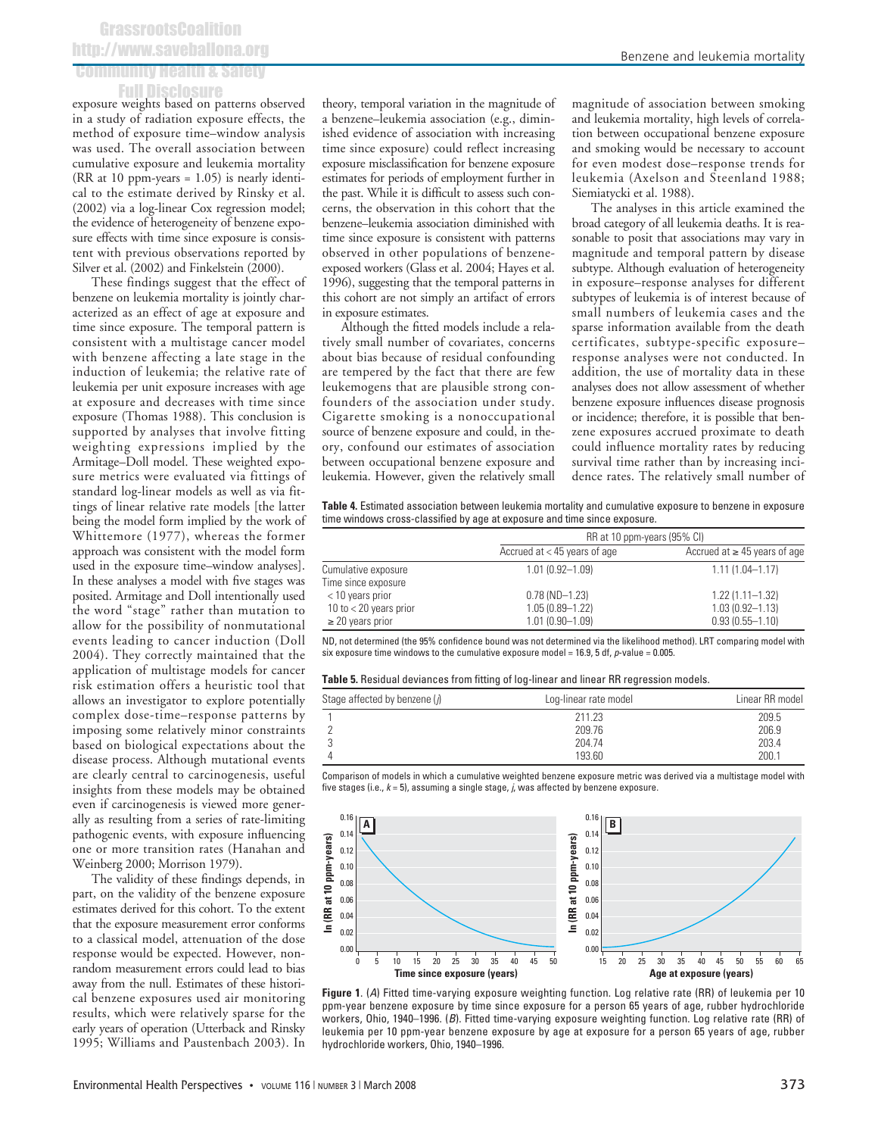## **GrassrootsCoalition** http://www.saveballona.org Community Health & Safety

exposure weights based on patterns observed in a study of radiation exposure effects, the method of exposure time–window analysis was used. The overall association between cumulative exposure and leukemia mortality (RR at 10 ppm-years = 1.05) is nearly identical to the estimate derived by Rinsky et al. (2002) via a log-linear Cox regression model; the evidence of heterogeneity of benzene exposure effects with time since exposure is consistent with previous observations reported by Silver et al. (2002) and Finkelstein (2000).

These findings suggest that the effect of benzene on leukemia mortality is jointly characterized as an effect of age at exposure and time since exposure. The temporal pattern is consistent with a multistage cancer model with benzene affecting a late stage in the induction of leukemia; the relative rate of leukemia per unit exposure increases with age at exposure and decreases with time since exposure (Thomas 1988). This conclusion is supported by analyses that involve fitting weighting expressions implied by the Armitage–Doll model. These weighted exposure metrics were evaluated via fittings of standard log-linear models as well as via fittings of linear relative rate models [the latter being the model form implied by the work of Whittemore (1977), whereas the former approach was consistent with the model form used in the exposure time–window analyses]. In these analyses a model with five stages was posited. Armitage and Doll intentionally used the word "stage" rather than mutation to allow for the possibility of nonmutational events leading to cancer induction (Doll 2004). They correctly maintained that the application of multistage models for cancer risk estimation offers a heuristic tool that allows an investigator to explore potentially complex dose-time–response patterns by imposing some relatively minor constraints based on biological expectations about the disease process. Although mutational events are clearly central to carcinogenesis, useful insights from these models may be obtained even if carcinogenesis is viewed more generally as resulting from a series of rate-limiting pathogenic events, with exposure influencing one or more transition rates (Hanahan and Weinberg 2000; Morrison 1979).

The validity of these findings depends, in part, on the validity of the benzene exposure estimates derived for this cohort. To the extent that the exposure measurement error conforms to a classical model, attenuation of the dose response would be expected. However, nonrandom measurement errors could lead to bias away from the null. Estimates of these historical benzene exposures used air monitoring results, which were relatively sparse for the early years of operation (Utterback and Rinsky 1995; Williams and Paustenbach 2003). In

theory, temporal variation in the magnitude of a benzene–leukemia association (e.g., diminished evidence of association with increasing time since exposure) could reflect increasing exposure misclassification for benzene exposure estimates for periods of employment further in the past. While it is difficult to assess such concerns, the observation in this cohort that the benzene–leukemia association diminished with time since exposure is consistent with patterns observed in other populations of benzeneexposed workers (Glass et al. 2004; Hayes et al. 1996), suggesting that the temporal patterns in this cohort are not simply an artifact of errors in exposure estimates.

Although the fitted models include a relatively small number of covariates, concerns about bias because of residual confounding are tempered by the fact that there are few leukemogens that are plausible strong confounders of the association under study. Cigarette smoking is a nonoccupational source of benzene exposure and could, in theory, confound our estimates of association between occupational benzene exposure and leukemia. However, given the relatively small

magnitude of association between smoking and leukemia mortality, high levels of correlation between occupational benzene exposure and smoking would be necessary to account for even modest dose–response trends for leukemia (Axelson and Steenland 1988; Siemiatycki et al. 1988).

The analyses in this article examined the broad category of all leukemia deaths. It is reasonable to posit that associations may vary in magnitude and temporal pattern by disease subtype. Although evaluation of heterogeneity in exposure–response analyses for different subtypes of leukemia is of interest because of small numbers of leukemia cases and the sparse information available from the death certificates, subtype-specific exposure– response analyses were not conducted. In addition, the use of mortality data in these analyses does not allow assessment of whether benzene exposure influences disease prognosis or incidence; therefore, it is possible that benzene exposures accrued proximate to death could influence mortality rates by reducing survival time rather than by increasing incidence rates. The relatively small number of

**Table 4.** Estimated association between leukemia mortality and cumulative exposure to benzene in exposure time windows cross-classified by age at exposure and time since exposure.

|                                                   | RR at 10 ppm-years (95% CI)                |                                            |
|---------------------------------------------------|--------------------------------------------|--------------------------------------------|
|                                                   | Accrued at $<$ 45 years of age             | Accrued at $\geq$ 45 years of age          |
| Cumulative exposure<br>Time since exposure        | $1.01(0.92 - 1.09)$                        | $1.11(1.04 - 1.17)$                        |
| $<$ 10 years prior                                | $0.78(ND-1.23)$                            | $1.22(1.11 - 1.32)$                        |
| 10 to $<$ 20 years prior<br>$\geq$ 20 years prior | $1.05(0.89 - 1.22)$<br>$1.01(0.90 - 1.09)$ | $1.03(0.92 - 1.13)$<br>$0.93(0.55 - 1.10)$ |

ND, not determined (the 95% confidence bound was not determined via the likelihood method). LRT comparing model with six exposure time windows to the cumulative exposure model = 16.9, 5 df, p-value = 0.005.

**Table 5.** Residual deviances from fitting of log-linear and linear RR regression models.

| Stage affected by benzene (j) | Log-linear rate model | Linear RR model |
|-------------------------------|-----------------------|-----------------|
|                               | 211.23                | 209.5           |
|                               | 209.76                | 206.9           |
|                               | 204.74                | 203.4           |
|                               | 193.60                | 200.1           |

Comparison of models in which a cumulative weighted benzene exposure metric was derived via a multistage model with five stages (i.e.,  $k = 5$ ), assuming a single stage, j, was affected by benzene exposure.



**Figure 1**. (A) Fitted time-varying exposure weighting function. Log relative rate (RR) of leukemia per 10 ppm-year benzene exposure by time since exposure for a person 65 years of age, rubber hydrochloride workers, Ohio, 1940–1996. (B). Fitted time-varying exposure weighting function. Log relative rate (RR) of leukemia per 10 ppm-year benzene exposure by age at exposure for a person 65 years of age, rubber hydrochloride workers, Ohio, 1940–1996.